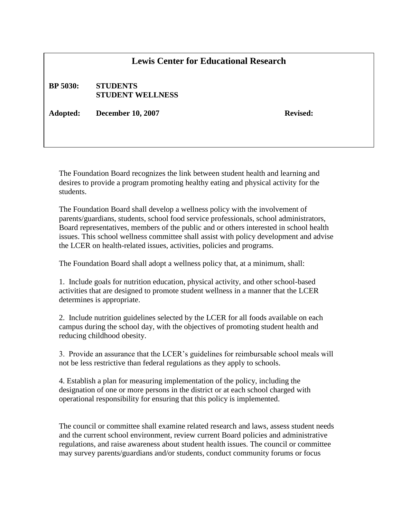## **Lewis Center for Educational Research**

**BP 5030: STUDENTS STUDENT WELLNESS**

Adopted: December 10, 2007 **Revised:** Revised:

The Foundation Board recognizes the link between student health and learning and desires to provide a program promoting healthy eating and physical activity for the students.

The Foundation Board shall develop a wellness policy with the involvement of parents/guardians, students, school food service professionals, school administrators, Board representatives, members of the public and or others interested in school health issues. This school wellness committee shall assist with policy development and advise the LCER on health-related issues, activities, policies and programs.

The Foundation Board shall adopt a wellness policy that, at a minimum, shall:

1. Include goals for nutrition education, physical activity, and other school-based activities that are designed to promote student wellness in a manner that the LCER determines is appropriate.

2. Include nutrition guidelines selected by the LCER for all foods available on each campus during the school day, with the objectives of promoting student health and reducing childhood obesity.

3. Provide an assurance that the LCER's guidelines for reimbursable school meals will not be less restrictive than federal regulations as they apply to schools.

4. Establish a plan for measuring implementation of the policy, including the designation of one or more persons in the district or at each school charged with operational responsibility for ensuring that this policy is implemented.

The council or committee shall examine related research and laws, assess student needs and the current school environment, review current Board policies and administrative regulations, and raise awareness about student health issues. The council or committee may survey parents/guardians and/or students, conduct community forums or focus